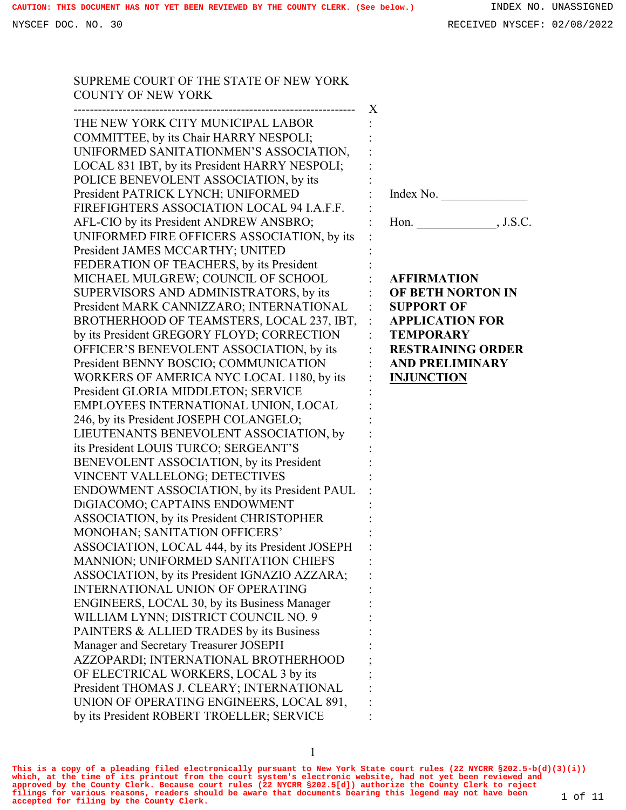SUPREME COURT OF THE STATE OF NEW YORK COUNTY OF NEW YORK --------------------------------------------------------------------- X THE NEW YORK CITY MUNICIPAL LABOR COMMITTEE, by its Chair HARRY NESPOLI; UNIFORMED SANITATIONMEN'S ASSOCIATION, LOCAL 831 IBT, by its President HARRY NESPOLI; POLICE BENEVOLENT ASSOCIATION, by its President PATRICK LYNCH; UNIFORMED FIREFIGHTERS ASSOCIATION LOCAL 94 I.A.F.F. AFL-CIO by its President ANDREW ANSBRO; UNIFORMED FIRE OFFICERS ASSOCIATION, by its President JAMES MCCARTHY; UNITED FEDERATION OF TEACHERS, by its President MICHAEL MULGREW; COUNCIL OF SCHOOL SUPERVISORS AND ADMINISTRATORS, by its President MARK CANNIZZARO; INTERNATIONAL BROTHERHOOD OF TEAMSTERS, LOCAL 237, IBT, by its President GREGORY FLOYD; CORRECTION OFFICER'S BENEVOLENT ASSOCIATION, by its President BENNY BOSCIO; COMMUNICATION WORKERS OF AMERICA NYC LOCAL 1180, by its President GLORIA MIDDLETON; SERVICE EMPLOYEES INTERNATIONAL UNION, LOCAL 246, by its President JOSEPH COLANGELO; LIEUTENANTS BENEVOLENT ASSOCIATION, by its President LOUIS TURCO; SERGEANT'S BENEVOLENT ASSOCIATION, by its President VINCENT VALLELONG; DETECTIVES ENDOWMENT ASSOCIATION, by its President PAUL DIGIACOMO; CAPTAINS ENDOWMENT ASSOCIATION, by its President CHRISTOPHER MONOHAN; SANITATION OFFICERS' ASSOCIATION, LOCAL 444, by its President JOSEPH MANNION; UNIFORMED SANITATION CHIEFS ASSOCIATION, by its President IGNAZIO AZZARA; INTERNATIONAL UNION OF OPERATING ENGINEERS, LOCAL 30, by its Business Manager WILLIAM LYNN; DISTRICT COUNCIL NO. 9 PAINTERS & ALLIED TRADES by its Business Manager and Secretary Treasurer JOSEPH AZZOPARDI; INTERNATIONAL BROTHERHOOD OF ELECTRICAL WORKERS, LOCAL 3 by its : : : : : : : : : : : : : : : : : : : : : : : : : : : : : : : : : : : : : : ; ; Index No. Hon. \_\_\_\_\_\_\_\_\_\_\_\_\_, J.S.C. **AFFIRMATION OF BETH NORTON IN SUPPORT OF APPLICATION FOR TEMPORARY RESTRAINING ORDER AND PRELIMINARY INJUNCTION**

**This is a copy of a pleading filed electronically pursuant to New York State court rules (22 NYCRR §202.5-b(d)(3)(i)) which, at the time of its printout from the court system's electronic website, had not yet been reviewed and** approved by the County Clerk. Because court rules (22 NYCRR §202.5[d]) authorize the County Clerk to reject<br>filings for various reasons, readers should be aware that documents bearing this legend may not have been  $1$  of 1

President THOMAS J. CLEARY; INTERNATIONAL UNION OF OPERATING ENGINEERS, LOCAL 891, by its President ROBERT TROELLER; SERVICE

: : :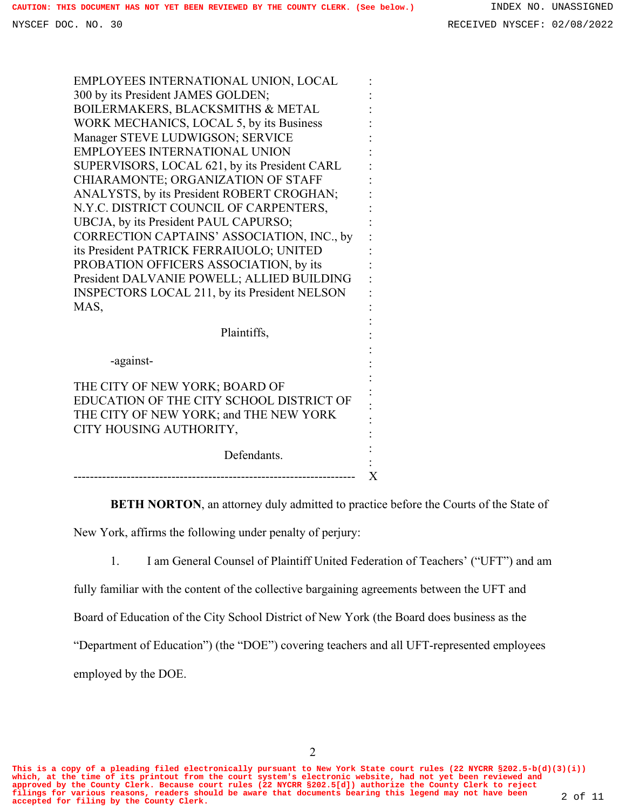| EMPLOYEES INTERNATIONAL UNION, LOCAL                 |  |
|------------------------------------------------------|--|
| 300 by its President JAMES GOLDEN;                   |  |
| BOILERMAKERS, BLACKSMITHS & METAL                    |  |
| WORK MECHANICS, LOCAL 5, by its Business             |  |
| Manager STEVE LUDWIGSON; SERVICE                     |  |
| <b>EMPLOYEES INTERNATIONAL UNION</b>                 |  |
| SUPERVISORS, LOCAL 621, by its President CARL        |  |
| CHIARAMONTE; ORGANIZATION OF STAFF                   |  |
| ANALYSTS, by its President ROBERT CROGHAN;           |  |
| N.Y.C. DISTRICT COUNCIL OF CARPENTERS,               |  |
| UBCJA, by its President PAUL CAPURSO;                |  |
| CORRECTION CAPTAINS' ASSOCIATION, INC., by           |  |
| its President PATRICK FERRAIUOLO; UNITED             |  |
| PROBATION OFFICERS ASSOCIATION, by its               |  |
| President DALVANIE POWELL; ALLIED BUILDING           |  |
| <b>INSPECTORS LOCAL 211, by its President NELSON</b> |  |
| MAS,                                                 |  |
|                                                      |  |
| Plaintiffs,                                          |  |
|                                                      |  |
| -against-                                            |  |
| THE CITY OF NEW YORK; BOARD OF                       |  |
| EDUCATION OF THE CITY SCHOOL DISTRICT OF             |  |
| THE CITY OF NEW YORK; and THE NEW YORK               |  |
| CITY HOUSING AUTHORITY,                              |  |
|                                                      |  |
| Defendants.                                          |  |
|                                                      |  |

**BETH NORTON**, an attorney duly admitted to practice before the Courts of the State of

New York, affirms the following under penalty of perjury:

1. I am General Counsel of Plaintiff United Federation of Teachers' ("UFT") and am

fully familiar with the content of the collective bargaining agreements between the UFT and

Board of Education of the City School District of New York (the Board does business as the

"Department of Education") (the "DOE") covering teachers and all UFT-represented employees

employed by the DOE.

**This is a copy of a pleading filed electronically pursuant to New York State court rules (22 NYCRR §202.5-b(d)(3)(i)) which, at the time of its printout from the court system's electronic website, had not yet been reviewed and** approved by the County Clerk. Because court rules (22 NYCRR §202.5[d]) authorize the County Clerk to reject<br>filings for various reasons, readers should be aware that documents bearing this legend may not have been 2 of 11<br>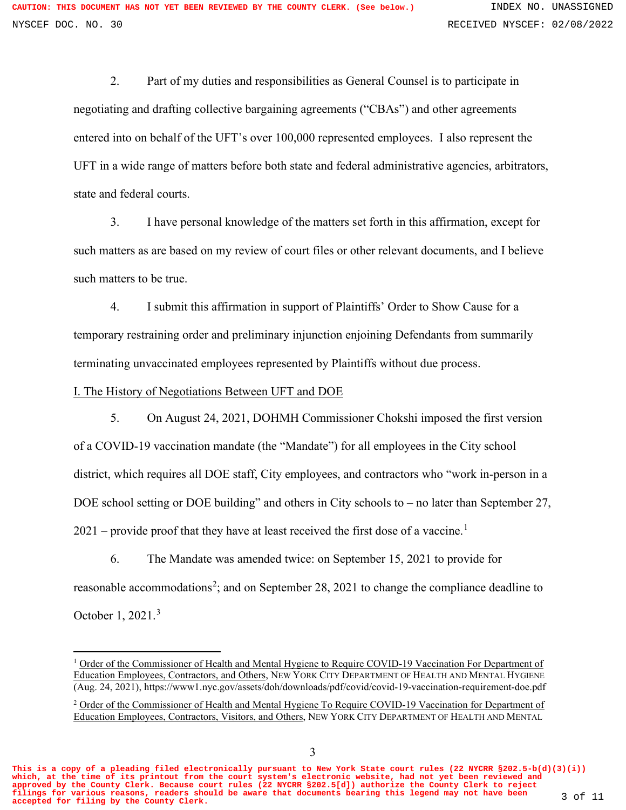2. Part of my duties and responsibilities as General Counsel is to participate in negotiating and drafting collective bargaining agreements ("CBAs") and other agreements entered into on behalf of the UFT's over 100,000 represented employees. I also represent the UFT in a wide range of matters before both state and federal administrative agencies, arbitrators, state and federal courts.

3. I have personal knowledge of the matters set forth in this affirmation, except for such matters as are based on my review of court files or other relevant documents, and I believe such matters to be true.

4. I submit this affirmation in support of Plaintiffs' Order to Show Cause for a temporary restraining order and preliminary injunction enjoining Defendants from summarily terminating unvaccinated employees represented by Plaintiffs without due process.

I. The History of Negotiations Between UFT and DOE

5. On August 24, 2021, DOHMH Commissioner Chokshi imposed the first version of a COVID-19 vaccination mandate (the "Mandate") for all employees in the City school district, which requires all DOE staff, City employees, and contractors who "work in-person in a DOE school setting or DOE building" and others in City schools to – no later than September 27,  $2021$  $2021$  – provide proof that they have at least received the first dose of a vaccine.<sup>1</sup>

6. The Mandate was amended twice: on September 15, 2021 to provide for reasonable accommodations<sup>[2](#page-2-1)</sup>; and on September 28, 2021 to change the compliance deadline to October 1, 2021.[3](#page-2-2)

<span id="page-2-1"></span>**This is a copy of a pleading filed electronically pursuant to New York State court rules (22 NYCRR §202.5-b(d)(3)(i)) which, at the time of its printout from the court system's electronic website, had not yet been reviewed and approved by the County Clerk. Because court rules (22 NYCRR §202.5[d]) authorize the County Clerk to reject filings for various reasons, readers should be aware that documents bearing this legend may not have been accepted for filing by the County Clerk.** 3 of 11

<span id="page-2-2"></span><span id="page-2-0"></span><sup>&</sup>lt;sup>1</sup> Order of the Commissioner of Health and Mental Hygiene to Require COVID-19 Vaccination For Department of Education Employees, Contractors, and Others, NEW YORK CITY DEPARTMENT OF HEALTH AND MENTAL HYGIENE (Aug. 24, 2021), https://www1.nyc.gov/assets/doh/downloads/pdf/covid/covid-19-vaccination-requirement-doe.pdf

<sup>&</sup>lt;sup>2</sup> Order of the Commissioner of Health and Mental Hygiene To Require COVID-19 Vaccination for Department of Education Employees, Contractors, Visitors, and Others, NEW YORK CITY DEPARTMENT OF HEALTH AND MENTAL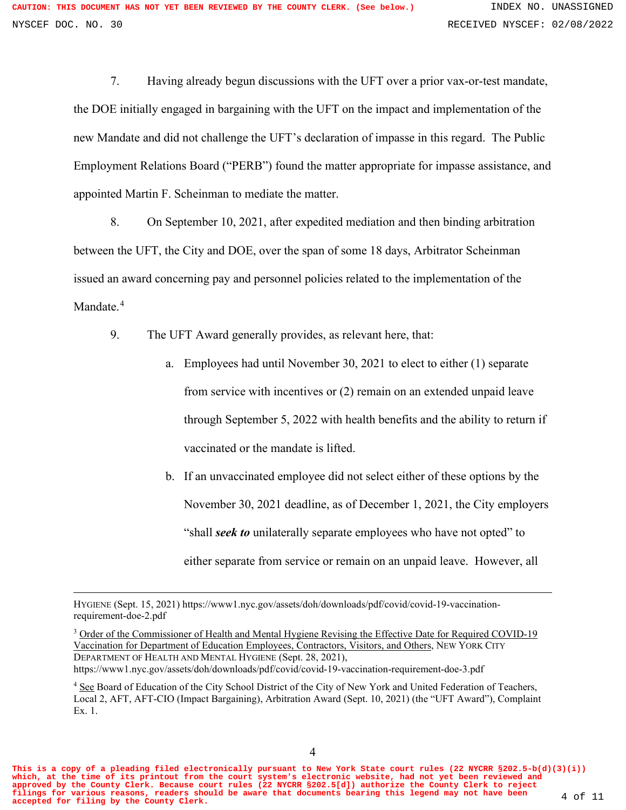7. Having already begun discussions with the UFT over a prior vax-or-test mandate, the DOE initially engaged in bargaining with the UFT on the impact and implementation of the new Mandate and did not challenge the UFT's declaration of impasse in this regard. The Public Employment Relations Board ("PERB") found the matter appropriate for impasse assistance, and appointed Martin F. Scheinman to mediate the matter.

8. On September 10, 2021, after expedited mediation and then binding arbitration between the UFT, the City and DOE, over the span of some 18 days, Arbitrator Scheinman issued an award concerning pay and personnel policies related to the implementation of the Mandate.<sup>[4](#page-3-0)</sup>

- 9. The UFT Award generally provides, as relevant here, that:
	- a. Employees had until November 30, 2021 to elect to either (1) separate from service with incentives or (2) remain on an extended unpaid leave through September 5, 2022 with health benefits and the ability to return if vaccinated or the mandate is lifted.
	- b. If an unvaccinated employee did not select either of these options by the November 30, 2021 deadline, as of December 1, 2021, the City employers "shall *seek to* unilaterally separate employees who have not opted" to either separate from service or remain on an unpaid leave. However, all

<sup>3</sup> Order of the Commissioner of Health and Mental Hygiene Revising the Effective Date for Required COVID-19 Vaccination for Department of Education Employees, Contractors, Visitors, and Others, NEW YORK CITY DEPARTMENT OF HEALTH AND MENTAL HYGIENE (Sept. 28, 2021), https://www1.nyc.gov/assets/doh/downloads/pdf/covid/covid-19-vaccination-requirement-doe-3.pdf

**This is a copy of a pleading filed electronically pursuant to New York State court rules (22 NYCRR §202.5-b(d)(3)(i)) which, at the time of its printout from the court system's electronic website, had not yet been reviewed and approved by the County Clerk. Because court rules (22 NYCRR §202.5[d]) authorize the County Clerk to reject filings for various reasons, readers should be aware that documents bearing this legend may not have been accepted for filing by the County Clerk.** 4 of 11

HYGIENE (Sept. 15, 2021) https://www1.nyc.gov/assets/doh/downloads/pdf/covid/covid-19-vaccinationrequirement-doe-2.pdf

<span id="page-3-0"></span><sup>&</sup>lt;sup>4</sup> See Board of Education of the City School District of the City of New York and United Federation of Teachers, Local 2, AFT, AFT-CIO (Impact Bargaining), Arbitration Award (Sept. 10, 2021) (the "UFT Award"), Complaint Ex. 1.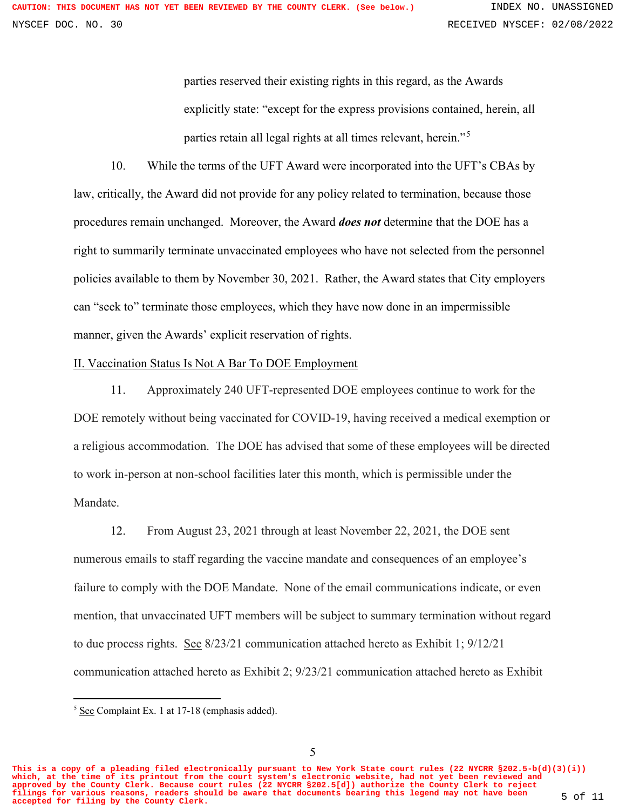parties reserved their existing rights in this regard, as the Awards explicitly state: "except for the express provisions contained, herein, all parties retain all legal rights at all times relevant, herein."<sup>[5](#page-4-0)</sup>

10. While the terms of the UFT Award were incorporated into the UFT's CBAs by law, critically, the Award did not provide for any policy related to termination, because those procedures remain unchanged. Moreover, the Award *does not* determine that the DOE has a right to summarily terminate unvaccinated employees who have not selected from the personnel policies available to them by November 30, 2021. Rather, the Award states that City employers can "seek to" terminate those employees, which they have now done in an impermissible manner, given the Awards' explicit reservation of rights.

## II. Vaccination Status Is Not A Bar To DOE Employment

11. Approximately 240 UFT-represented DOE employees continue to work for the DOE remotely without being vaccinated for COVID-19, having received a medical exemption or a religious accommodation. The DOE has advised that some of these employees will be directed to work in-person at non-school facilities later this month, which is permissible under the Mandate.

12. From August 23, 2021 through at least November 22, 2021, the DOE sent numerous emails to staff regarding the vaccine mandate and consequences of an employee's failure to comply with the DOE Mandate. None of the email communications indicate, or even mention, that unvaccinated UFT members will be subject to summary termination without regard to due process rights. See 8/23/21 communication attached hereto as Exhibit 1; 9/12/21 communication attached hereto as Exhibit 2; 9/23/21 communication attached hereto as Exhibit

<span id="page-4-0"></span>**This is a copy of a pleading filed electronically pursuant to New York State court rules (22 NYCRR §202.5-b(d)(3)(i)) which, at the time of its printout from the court system's electronic website, had not yet been reviewed and approved by the County Clerk. Because court rules (22 NYCRR §202.5[d]) authorize the County Clerk to reject filings for various reasons, readers should be aware that documents bearing this legend may not have been accepted for filing by the County Clerk.** 5 of 11

<sup>5</sup> See Complaint Ex. 1 at 17-18 (emphasis added).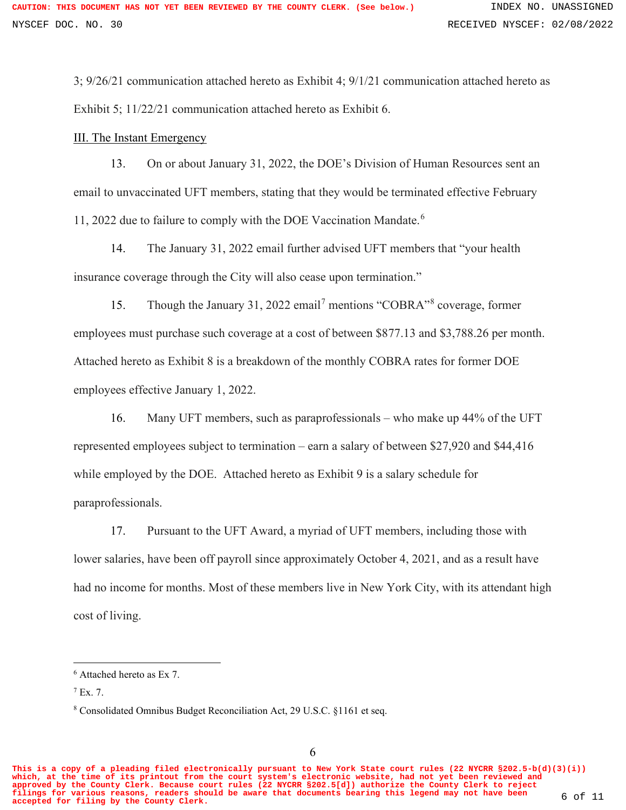3; 9/26/21 communication attached hereto as Exhibit 4; 9/1/21 communication attached hereto as Exhibit 5; 11/22/21 communication attached hereto as Exhibit 6.

## III. The Instant Emergency

13. On or about January 31, 2022, the DOE's Division of Human Resources sent an email to unvaccinated UFT members, stating that they would be terminated effective February 11, 2022 due to failure to comply with the DOE Vaccination Mandate.[6](#page-5-0)

14. The January 31, 2022 email further advised UFT members that "your health insurance coverage through the City will also cease upon termination."

15. Though the January 31, 2022 email<sup>[7](#page-5-1)</sup> mentions "COBRA"<sup>[8](#page-5-2)</sup> coverage, former employees must purchase such coverage at a cost of between \$877.13 and \$3,788.26 per month. Attached hereto as Exhibit 8 is a breakdown of the monthly COBRA rates for former DOE employees effective January 1, 2022.

16. Many UFT members, such as paraprofessionals – who make up 44% of the UFT represented employees subject to termination – earn a salary of between \$27,920 and \$44,416 while employed by the DOE. Attached hereto as Exhibit 9 is a salary schedule for paraprofessionals.

17. Pursuant to the UFT Award, a myriad of UFT members, including those with lower salaries, have been off payroll since approximately October 4, 2021, and as a result have had no income for months. Most of these members live in New York City, with its attendant high cost of living.

<span id="page-5-2"></span>**This is a copy of a pleading filed electronically pursuant to New York State court rules (22 NYCRR §202.5-b(d)(3)(i)) which, at the time of its printout from the court system's electronic website, had not yet been reviewed and approved by the County Clerk. Because court rules (22 NYCRR §202.5[d]) authorize the County Clerk to reject filings for various reasons, readers should be aware that documents bearing this legend may not have been accepted for filing by the County Clerk.** 6 of 11

<span id="page-5-0"></span><sup>6</sup> Attached hereto as Ex 7.

<span id="page-5-1"></span> $7$  Ex. 7.

<sup>8</sup> Consolidated Omnibus Budget Reconciliation Act, 29 U.S.C. §1161 et seq.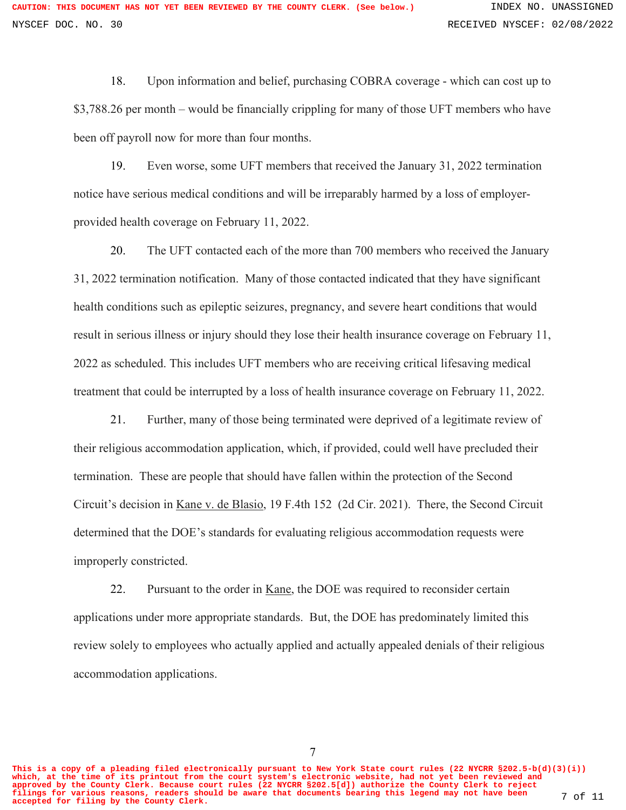18. Upon information and belief, purchasing COBRA coverage - which can cost up to \$3,788.26 per month – would be financially crippling for many of those UFT members who have been off payroll now for more than four months.

19. Even worse, some UFT members that received the January 31, 2022 termination notice have serious medical conditions and will be irreparably harmed by a loss of employerprovided health coverage on February 11, 2022.

20. The UFT contacted each of the more than 700 members who received the January 31, 2022 termination notification. Many of those contacted indicated that they have significant health conditions such as epileptic seizures, pregnancy, and severe heart conditions that would result in serious illness or injury should they lose their health insurance coverage on February 11, 2022 as scheduled. This includes UFT members who are receiving critical lifesaving medical treatment that could be interrupted by a loss of health insurance coverage on February 11, 2022.

21. Further, many of those being terminated were deprived of a legitimate review of their religious accommodation application, which, if provided, could well have precluded their termination. These are people that should have fallen within the protection of the Second Circuit's decision in Kane v. de Blasio, 19 F.4th 152 (2d Cir. 2021). There, the Second Circuit determined that the DOE's standards for evaluating religious accommodation requests were improperly constricted.

22. Pursuant to the order in Kane, the DOE was required to reconsider certain applications under more appropriate standards. But, the DOE has predominately limited this review solely to employees who actually applied and actually appealed denials of their religious accommodation applications.

7

**This is a copy of a pleading filed electronically pursuant to New York State court rules (22 NYCRR §202.5-b(d)(3)(i)) which, at the time of its printout from the court system's electronic website, had not yet been reviewed and approved by the County Clerk. Because court rules (22 NYCRR §202.5[d]) authorize the County Clerk to reject filings for various reasons, readers should be aware that documents bearing this legend may not have been accepted for filing by the County Clerk.** 7 of 11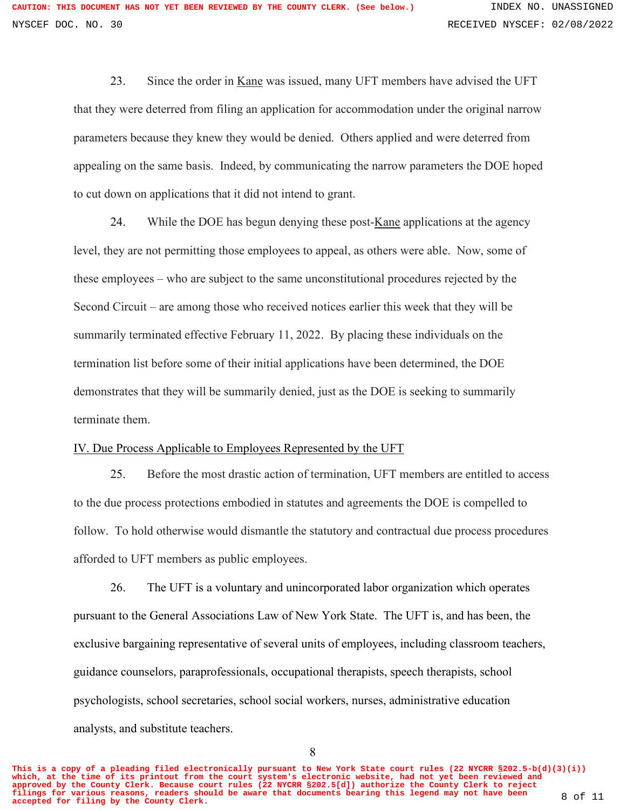23. Since the order in Kane was issued, many UFT members have advised the UFT that they were deterred from filing an application for accommodation under the original narrow parameters because they knew they would be denied. Others applied and were deterred from appealing on the same basis. Indeed, by communicating the narrow parameters the DOE hoped to cut down on applications that it did not intend to grant.

24. While the DOE has begun denying these post- $K$ ane applications at the agency level, they are not permitting those employees to appeal, as others were able. Now, some of these employees – who are subject to the same unconstitutional procedures rejected by the Second Circuit – are among those who received notices earlier this week that they will be summarily terminated effective February 11, 2022. By placing these individuals on the termination list before some of their initial applications have been determined, the DOE demonstrates that they will be summarily denied, just as the DOE is seeking to summarily terminate them.

## IV. Due Process Applicable to Employees Represented by the UFT

25. Before the most drastic action of termination, UFT members are entitled to access to the due process protections embodied in statutes and agreements the DOE is compelled to follow. To hold otherwise would dismantle the statutory and contractual due process procedures afforded to UFT members as public employees.

26. The UFT is a voluntary and unincorporated labor organization which operates pursuant to the General Associations Law of New York State. The UFT is, and has been, the exclusive bargaining representative of several units of employees, including classroom teachers, guidance counselors, paraprofessionals, occupational therapists, speech therapists, school psychologists, school secretaries, school social workers, nurses, administrative education analysts, and substitute teachers.

8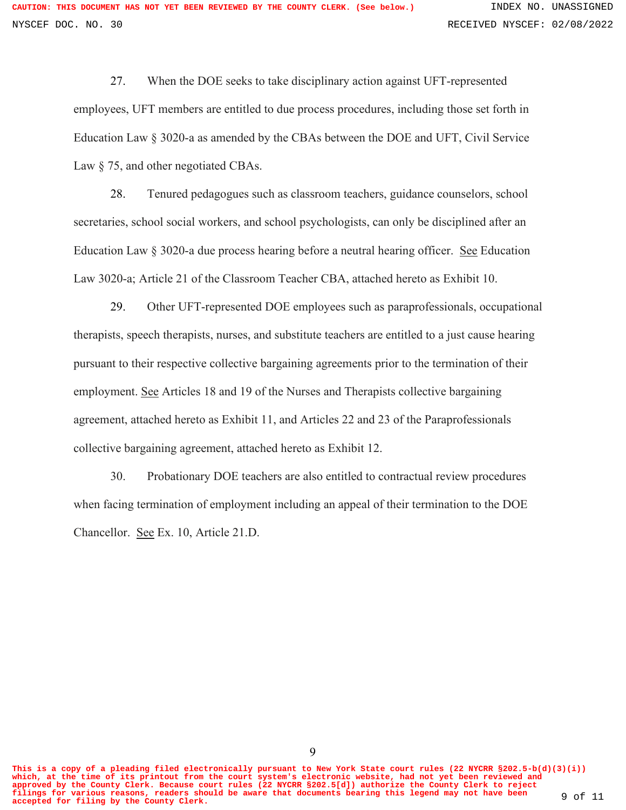27. When the DOE seeks to take disciplinary action against UFT-represented employees, UFT members are entitled to due process procedures, including those set forth in Education Law § 3020-a as amended by the CBAs between the DOE and UFT, Civil Service Law  $\S$  75, and other negotiated CBAs.

28. Tenured pedagogues such as classroom teachers, guidance counselors, school secretaries, school social workers, and school psychologists, can only be disciplined after an Education Law § 3020-a due process hearing before a neutral hearing officer. See Education Law 3020-a; Article 21 of the Classroom Teacher CBA, attached hereto as Exhibit 10.

29. Other UFT-represented DOE employees such as paraprofessionals, occupational therapists, speech therapists, nurses, and substitute teachers are entitled to a just cause hearing pursuant to their respective collective bargaining agreements prior to the termination of their employment. See Articles 18 and 19 of the Nurses and Therapists collective bargaining agreement, attached hereto as Exhibit 11, and Articles 22 and 23 of the Paraprofessionals collective bargaining agreement, attached hereto as Exhibit 12.

30. Probationary DOE teachers are also entitled to contractual review procedures when facing termination of employment including an appeal of their termination to the DOE Chancellor. See Ex. 10, Article 21.D.

**This is a copy of a pleading filed electronically pursuant to New York State court rules (22 NYCRR §202.5-b(d)(3)(i)) which, at the time of its printout from the court system's electronic website, had not yet been reviewed and approved by the County Clerk. Because court rules (22 NYCRR §202.5[d]) authorize the County Clerk to reject filings for various reasons, readers should be aware that documents bearing this legend may not have been accepted for filing by the County Clerk.** 9 of 11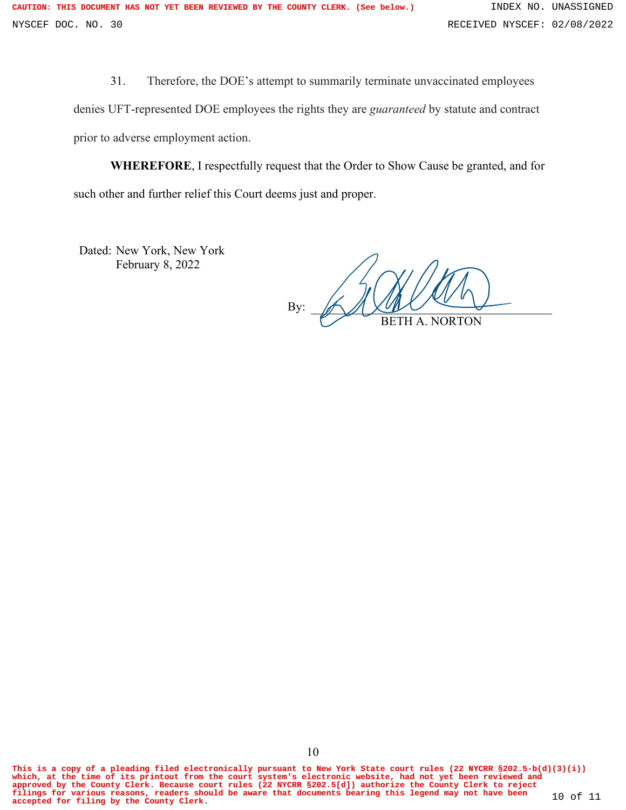31. Therefore, the DOE's attempt to summarily terminate unvaccinated employees

denies UFT-represented DOE employees the rights they are *guaranteed* by statute and contract prior to adverse employment action.

**WHEREFORE**, I respectfully request that the Order to Show Cause be granted, and for such other and further relief this Court deems just and proper.

Dated: New York, New York February 8, 2022

By: BETH A. NORTON

**This is a copy of a pleading filed electronically pursuant to New York State court rules (22 NYCRR §202.5-b(d)(3)(i)) which, at the time of its printout from the court system's electronic website, had not yet been reviewed and** approved by the County Clerk. Because court rules (22 NYCRR §202.5[d]) authorize the County Clerk to reject<br>filings for various reasons, readers should be aware that documents bearing this legend may not have been 10 of 11